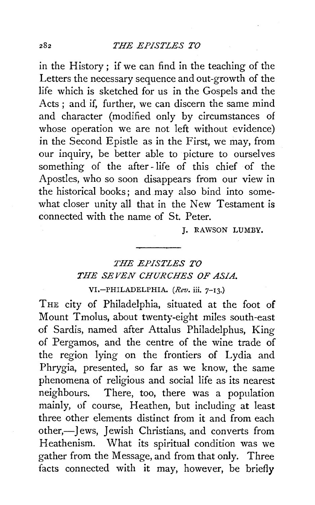in the History; if we can find in the teaching of the Letters the necessary sequence and out-growth of the life which is sketched for us in the Gospels and the Acts ; and if, further, we can discern the same mind and character (modified only by circumstances of whose operation we are not left without evidence) in the Second Epistle as in the First, we may, from our inquiry, be better able to picture to ourselves something of the after-life of this chief of the Apostles, who so soon disappears from our view in the historical books; and may also bind into somewhat closer unity all that in the New Testament is connected with the name of St. Peter.

J. RAWSON LUMBY.

## *THE EPISTLES TO THE SEVEN CHURCHES OF ASIA.*

VI.-PHILADELPHIA. *(Rev.* iii. 7-13.)

THE city of Philadelphia, situated at the foot of Mount Tmolus, about twenty-eight miles south-east of Sardis, named after Attalus Philadelphus, King of Pergamos, and the centre of the wine trade of the region lying on the frontiers of Lydia and Phrygia, presented, so far as we know, the same phenomena of religious and social life as its nearest neighbours. There, too, there was a population mainly, of course, Heathen, but including at least three other elements distinct from it and from each other,—Jews, Jewish Christians, and converts from Heathenism. What its spiritual condition was we gather from the Message, and from that only. Three facts connected with it may, however, be briefly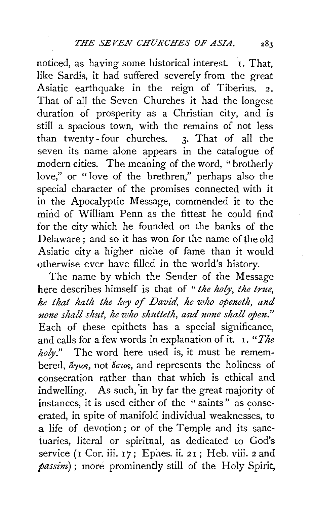noticed, as having some historical interest. I. That, like Sardis, it had suffered severely from the great Asiatic earthquake in the reign of Tiberius. 2. That of all the Seven Churches it had the longest duration of prosperity as a Christian city, and is still a spacious town, with the remains of not less than twenty- four churches. 3· That of all the seven its name alone appears in the catalogue of modern cities. The meaning of the word, "brotherly love," or " love of the brethren," perhaps also the special character of the promises connected with it in the Apocalyptic Message, commended it to the mind of William Penn as the fittest he could find for the city which he founded on the banks of the Delaware ; and so it has won for the name of the old Asiatic city a higher niche of fame than it would otherwise ever have filled in the world's history.

The name by which the Sender of the Message here describes himself is that of *"the holy, the true, he that hath the key of David, he who openeth, and*  none shall shut, he who shutteth, and none shall open." Each of these epithets has a special significance, and calls for a few words in explanation of it. I. *"The holy."* The word here used is, it must be remembered,  $\mathring{a}_{\gamma\iota o\varsigma}$ , not  $\mathring{\sigma}_{\iota o\varsigma}$ , and represents the holiness of consecration rather than that which is ethical and indwelling. As such, in by far the great majority of instances, it is used either of the "saints" as consecrated, in spite of manifold individual weaknesses, to a life of devotion; or of the Temple and its sanctuaries, literal or spiritual, as dedicated to God's service (1 Cor. iii. 17; Ephes. ii. 21; Heb. viii. 2 and *passim);* more prominently still of the Holy Spirit,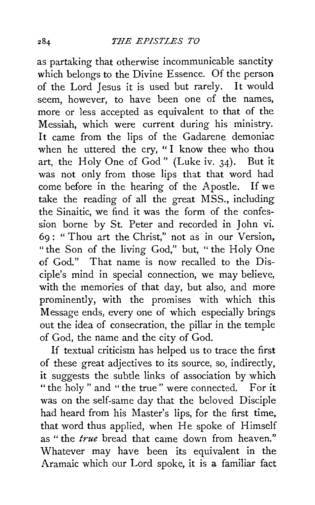as partaking that otherwise incommunicable sanctity which belongs to the Divine Essence. Of the person of the Lord Jesus it is used but rarely. It would seem, however, to have been one of the names, more or less accepted as equivalent to that of the Messiah, which were current during his ministry. It came from the lips of the Gadarene demoniac when he uttered the cry, "I know thee who thou art, the Holy One of God" (Luke iv. 34). But it was not only from those lips that that word had come before in the hearing of the Apostle. If we take the reading of all the great MSS., including the Sinaitic, we find it was the form of the confession borne by St. Peter and recorded in John vi. 69 : " Thou art the Christ," not as in our Version, "the Son of the living God," but, "the Holy One of God." That name is now recalled to the Disciple's mind in special connection, we may believe, with the memories of that day, but also, and more prominently, with the promises with which this Message ends, every one of which especially brings out the idea of consecration, the pillar in the temple of God, the name and the city of God.

If textual criticism has helped us to trace the first of these great adjectives to its source, so, indirectly, it suggests the subtle links of association by which "the holy" and "the true" were connected. For it was on the self-same day that the beloved Disciple had heard from his Master's lips, for the first time, that word thus applied, when He spoke of Himself as" the *true* bread that came down from heaven." Whatever may have been its equivalent in the Aramaic which our Lord spoke, it is a familiar fact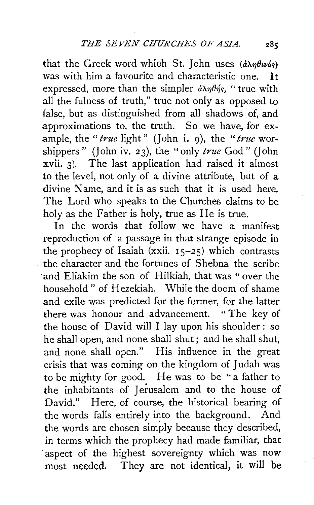that the Greek word which St. John uses  $(\partial \lambda \eta \theta \psi)$ was with him a favourite and characteristic one. It expressed, more than the simpler  $\partial \lambda \eta \theta \eta'$ . " true with all the fulness of truth," true not only as opposed to false, but as distinguished from all shadows of, and approximations to, the truth. So we have, for example, the "*true* light" (John i. 9), the "*true* worshippers" (John iv. 23), the "only *true* God" (John xvii. 3). The last application had raised it almost to the level, not only of a divine attribute, but of a divine Name, and it is as such that it is used here. The Lord who speaks to the Churches claims to be holy as the Father is holy, true as He is true.

In the words that follow we have a manifest reproduction of a passage in that strange episode in the prophecy of Isaiah (xxii.  $15-25$ ) which contrasts the character and the fortunes of Shebna the scribe ·and Eliakim the son of Hilkiah, that was "over the household" of Hezekiah. While the doom of shame and exile was predicted for the former, for the latter there was honour and advancement. "The key of the house of David will I lay upon his shoulder : so he shall open, and none shall shut ; and he shall shut, and none shall open." His influence in the great crisis that was coming on the kingdom of Judah was to be mighty for good. He was to be "a father to the inhabitants of Jerusalem and to the house of David." Here, of course, the historical bearing of the words falls entirely into the background. And the words are chosen simply because they described, in terms which the prophecy had made familiar, that aspect of the highest sovereignty which was now most needed. They are not identical, it will be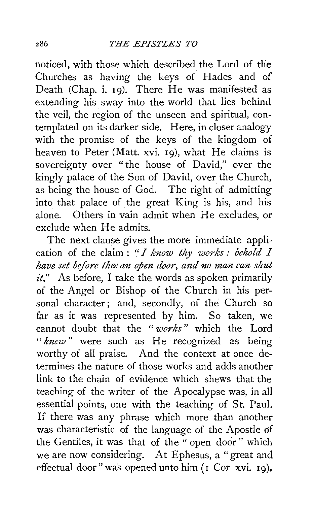noticed, with those which described the Lord of the Churches as having the keys of Hades and of Death (Chap. i. I9). There He was manifested as extending his sway into the world that lies behind the veil, the region of the unseen and spiritual, contemplated on its darker side. Here, in closer analogy with the promise of the keys of the kingdom of heaven to Peter (Matt. xvi. 19), what He claims is sovereignty over "the house of David," over the kingly palace of the Son of David, over the Church, as being the house of God. The right of admitting into that palace of. the great King is his, and his alone. Others in vain admit when He excludes, or exclude when He admits.

The next clause gives the more immediate application of the claim : *"I know thy works : behold I have set before thee an open door, and no man can shut it."* As before, I take the words as spoken primarily of the Angel or Bishop of the Church in his personal character; and, secondly, of the Church so far as it was represented by him. So taken, we cannot doubt that the " *works"* which the Lord " *knew* " were such as He recognized as being worthy of all praise. And the context at once determines the nature of those works and adds another link to the chain of evidence which shews that the teaching of the writer of the Apocalypse was, in all essential points, one with the teaching of St. Paul. If there was any phrase which more than another was characteristic of the language of the Apostle df the Gentiles, it was that of the " open door" which we are now considering. At Ephesus, a "great and effectual door" was opened unto him (I Cor xvi. 19).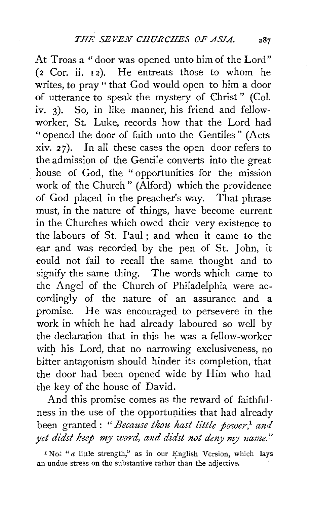At Troas a" door was opened unto him of the Lord" (2 Cor. ii. 12). He entreats those to whom he writes, to pray " that God would open to him a door of utterance to speak the mystery of Christ " (Col. iv. 3). So, in like manner, his friend and fellowworker, St. Luke, records how that the Lord had "opened the door of faith unto the Gentiles" (Acts xiv. 27). In all these cases the open door refers to the admission of the Gentile converts into the great house of God, the "opportunities for the mission work of the Church" (Alford) which the providence of God placed in the preacher's way. That phrase must, in the nature of things, have become current in the Churches which owed their very existence to the labours of St. Paul ; and when it came to the ear and was recorded by the pen of St. John, it could not fail to recall the same thought and to signify the same thing. The words which came to the Angel of the Church of Philadelphia were accordingly of the nature of an assurance and a promise. He was encouraged to persevere in the work in which he had already laboured so well by the declaration that in this he was a fellow-worker with his Lord, that no narrowing exclusiveness, no bitter antagonism should hinder its completion, that the door had been opened wide by Him who had the key of the house of David.

And this promise comes as the reward of faithfulness in the use of the opportunities that had already been granted : *"Because thou hast little power/ and*  yet didst keep my word, and didst not deny my name."

<sup>1</sup> No<sup>x</sup> "a little strength," as in our English Version, which lays an undue stress on the substantive rather than the adjective.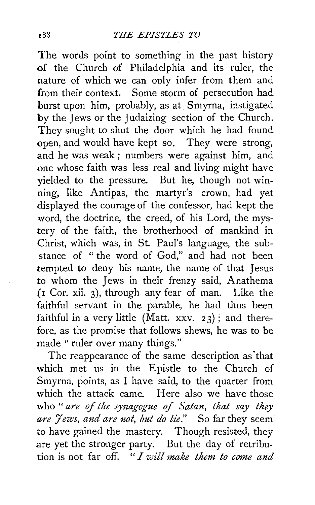The words point to something in the past history of the Church of Philadelphia and its ruler, the nature of which we can only infer from them and from their context. Some storm of persecution had burst upon him, probably, as at Smyrna, instigated by the Jews or the Judaizing section of the Church. They sought to shut the door which he had found open, and would have kept so. They were strong, and he was weak ; numbers were against him, and one whose faith was less real and living might have yielded to the pressure. But he, though not winning, like Antipas, the martyr's crown, had yet displayed the courage of the confessor, had kept the word, the doctrine, the creed, of his Lord, the mystery of the faith, the brotherhood of mankind in Christ, which was, in St. Paul's language, the substance of " the word of God," and had not been tempted to deny his name, the name of that Jesus to whom the Jews in their frenzy said, Anathema  $($ I Cor. xii. 3), through any fear of man. Like the faithful servant in the parable, he had thus been faithful in a very little (Matt. xxv.  $23$ ); and therefore, as the promise that follows shews, he was to be made "ruler over many things."

The reappearance of the same description as that which met us in the Epistle to the Church of Smyrna, points, as I have said, to the quarter from which the attack came. Here also we have those who "are of the synagogue of Satan, that say they are *Jews, and are not, but do lie.*" So far they seem to have gained the mastery. Though resisted, they are yet the stronger party. But the day of retribution is not far off. " *I will make them to come and*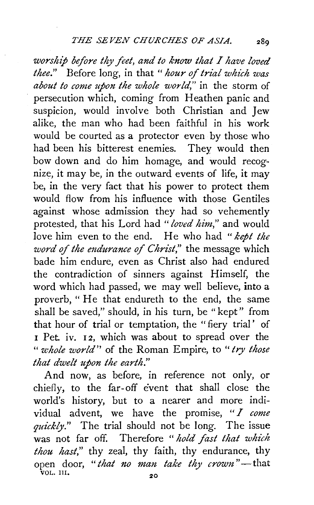*worship before thy feet, and to know that I have loved thee.*" Before long, in that "*hour of trial which was about to come upon the whole world,"* in the storm of persecution which, coming from Heathen panic and suspicion, would involve both Christian and Jew alike, the man who had been faithful in his work would be courted as a protector even by those who had been his bitterest enemies. They would then bow down and do him homage, and would recognize, it may be, in the outward events of life, it may be, in the very fact that his power to protect them would flow from his influence with those Gentiles against whose admission they had so vehemently protested, that his Lord had " *loved him,"* and would love him even to the end. He who had " *kept the word* of *the mdurance of Christ,"* the message which bade him endure, even as Christ also had endured the contradiction of sinners against Himself, the word which had passed, we may well believe, into a proverb, "He that endureth to the end, the same shall be saved," should, in his turn, be "kept" from that hour of trial or temptation, the "fiery trial' of 1 Pet. iv. 12, which was about to spread over the *"whole world"* of the Roman Empire, to *"try those that dwelt upon the earth."* 

And now, as before, in reference not only, or chiefly, to the far-off event that shall close the world's history, but to a nearer and more individual advent, we have the promise, *"I come*  quickly." The trial should not be long. The issue was not far off. Therefore "hold fast that which *thou hast,"* thy zeal, thy faith, thy endurance, thy open door, "*that no man take thy crown*"-that  $\sqrt{VOL}$ . III. 20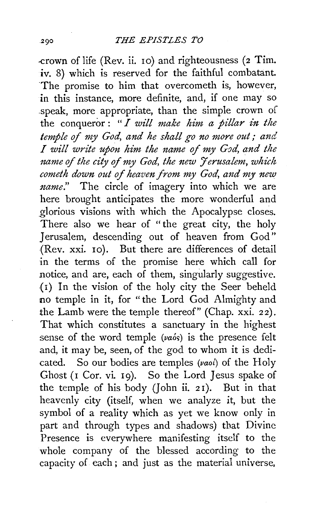-crown oflife (Rev. ii. 10) and righteousness (2 Tim. iv. 8) which is reserved for the faithful combatant. The promise to him that overcometh is, however, in this instance, more definite, and, if one may so .speak, more appropriate, than the simple crown of the conqueror: *"I will make him a pillar in the*  temple of my God, and he shall go no more out; and *I* will write upon him the name of my God, and the *name of the city of my God, the new Jerusalem, which cometh down out of heaven from my God, and my new name.*" The circle of imagery into which we are here brought anticipates the more wonderful and glorious visions with which the Apocalypse closes. There also we hear of "the great city, the holy Jerusalem, descending out of heaven from God" {Rev. xxi. 10). But there are differences of detail in the terms of the promise here which call for notice, and are, each of them, singularly suggestive. {I) In the vision of the holy city the Seer beheld no temple in it, for " the Lord God Almighty and the Lamb were the temple thereof" (Chap. xxi. 22). That which constitutes a sanctuary in the highest sense of the word temple *(vaos)* is the presence felt and, it may be, seen, of the god to whom it is dedicated. So our bodies are temples  $(vaoi)$  of the Holy Ghost (I Cor. vi. I9). So the Lord Jesus spake of the temple of his body (John ii. 2I). But in that heavenly city (itself, when we analyze it, but the symbol of a reality which as yet we know only in part and through types and shadows) that Divine Presence is everywhere manifesting itself to the whole company of the blessed according to the capacity of each ; and just as the material universe,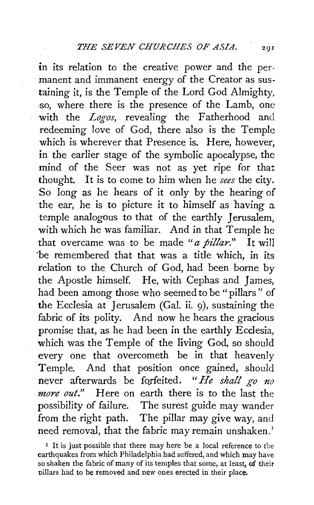in its relation to the creative power and the permanent and immanent energy of the Creator as sustaining it, is the Temple of the Lord God Almighty, ·so, where there is the presence of the Lamb, one with the *Logos,* revealing the Fatherhood and redeeming love of God, there also is the Temple which is wherever that Presence is. Here, however, in the earlier stage of the symbolic apocalypse, the mind of the Seer was not as yet *ripe* for that thought. It *is* to come to him when he *sees* the city. So long as he hears of it only by the hearing of the ear, he is to picture it to himself as having a temple analogous to that of the earthly Jerusalem, with which he was familiar. And *in* that Temple he that overcame was to be made *"a pillar."* It will 'be remembered that that was a title which, in its relation to the Church of God, had been borne by the Apostle himself. He, with Cephas and James, had been among those who seemed to be "pillars" of the Ecclesia at Jerusalem (Gal. ii. 9), sustaining the fabric of its polity. And now he hears the gracious promise that, as he had been in the earthly Ecclesia, which was the Temple of the living God, so should every one that overcometh be in that heavenly Temple. And that position once gained, should never afterwards be forfeited. "He shall go no *more out."* Here on earth there *is* to the last the possibility of failure. The surest *guide* may wander from the right path. The pillar may *give* way, and need removal, that the fabric may remain unshaken.)

 $1$  It is just possible that there may here be a local reference to the earthquakes from which Philadelphia had suffered, and which may have so shaken the fabric of many of its temples that some, at least, of their pillars had to be removed and new ones erected in their place.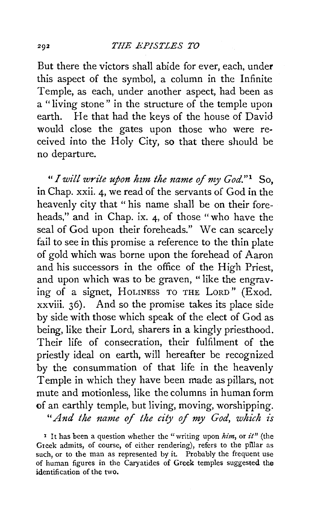But there the victors shall abide for ever, each, under this aspect of the symbol, a column in the Infinite Temple, as each, under another aspect, had been as a "living stone" in the structure of the temple upon earth. He that had the keys of the house of David would close the gates upon those who were received into the Holy City, so that there should be no departure.

*"I will write upon hzm the name* of *my God."* 1 So, in Chap. xxii. 4, we read of the servants of God in the heavenly city that "his name shall be on their foreheads," and in Chap. ix. 4, of those "who have the seal of God upon their foreheads." We can scarcely fail to see in this promise a reference to the thin plate of gold which was borne upon the forehead of Aaron and his successors in the office of the High Priest, and upon which was to be graven, "like the engraving of a signet, HoLINESS To THE LoRD" (Exod. xxviii. 36). And so the promise takes its place side by side with those which speak of the elect of God as being, like their Lord, sharers in a kingly priesthood. Their life of consecration, their fulfilment of the priestly ideal on earth, will hereafter be recognized by the consummation of that life in the heavenly Temple in which they have been made as pillars, not mute and motionless, like the columns in human form of an earthly temple, but living, moving, worshipping.

*"And the name of the city of my God, which is* 

x It has been a question whether the "writing upon *him,* or *it"* (the Greek admits, of course, of either rendering), refers to the pillar as such, or to the man as represented by it. Probably the frequent use of human figures in the Caryatides of Greek temples suggested the identification of the two.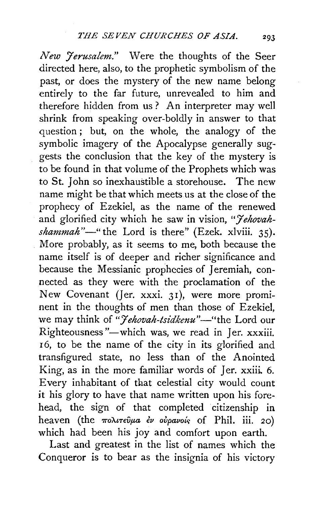*New Jerusalem."* Were the thoughts of the Seer directed here, also, to the prophetic symbolism of the past, or does the mystery of the new name belong entirely to the far future, unrevealed to him and therefore hidden from us? An interpreter may well shrink from speaking over-boldly in answer to that question ; but, on the whole, the analogy of the symbolic imagery of the Apocalypse generally suggests the conclusion that the key of the mystery is to be found in that volume of the Prophets which was to St. John so inexhaustible a storehouse. The new name might be that which meets us at the close of the prophecy of Ezekiel, as the name of the renewed and glorified city which he saw in vision, *"Jehovahshammah"-"* the Lord is there" (Ezek. xlviii. 35). More probably, as it seems to me, both because the name itself is of deeper and richer significance and because the Messianic prophecies of Jeremiah, connected as they were with the proclamation of the New Covenant *(Jer. xxxi. 31)*, were more prominent in the thoughts of men than those of Ezekiel, we may think of "*Jehovah-tsidkenu*"-"the Lord our Righteousness"—which was, we read in Jer. xxxiii. <sup>I</sup>6, to be the name of the city in its glorified and transfigured state, no less than of the Anointed King, as in the more familiar words of  $\text{Ier. xxiii. } 6$ . Every inhabitant of that celestial city would count it his glory to have that name written upon his forehead, the sign of that completed citizenship in heaven (the  $\pi$ o $\lambda$  $\iota$  $\tau$  $\epsilon \tilde{\nu}$  $\mu$ *a*  $\epsilon \nu$  ovpavois of Phil. iii. 20) which had been his joy and comfort upon earth.

Last and greatest in the list of names which the Conqueror is to bear as the insignia of his victory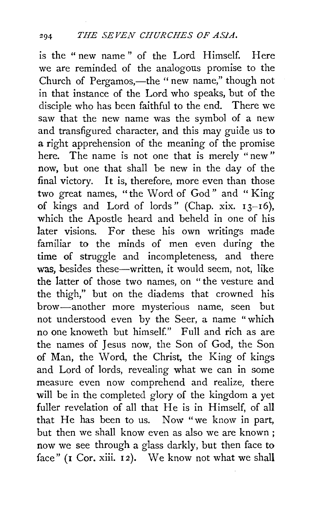is the "new name" of the Lord Himself. Here we are reminded of the analogous promise to the Church of Pergamos,—the " new name," though not in that instance of the Lord who speaks, but of the disciple who has been faithful to the end. There we saw that the new name was the symbol of a new and transfigured character, and this may guide us to a right apprehension of the meaning of the promise here. The name is not one that is merely "new" now, but one that shall be new in the day of the final victory. It is, therefore, more even than those two great names, "the Word of God" and " King of kings and Lord of lords" (Chap. xix.  $13-16$ ), which the Apostle heard and beheld in one of his later visions. For these his own writings made familiar to the minds of men even during the time of struggle and incompleteness, and there was, besides these—written, it would seem, not, like the latter of those two names, on " the vesture and the thigh," but on the diadems that crowned his brow-another more mysterious name, seen but not understood even by the Seer, a name "which no one knoweth but himself." Full and rich as are the names of Jesus now, the Son of God, the Son of Man, the Word, the Christ, the King of kings and Lord of lords, revealing what we can in some measure even now comprehend and realize, there will be in the completed glory of the kingdom a yet fuller revelation of all that He is in Himself, of all that He has been to us. Now "we know in part, but then we shall know even as also we are known ; now we see through a glass darkly, but then face to face" (1 Cor. xiii. 12). We know not what we shall